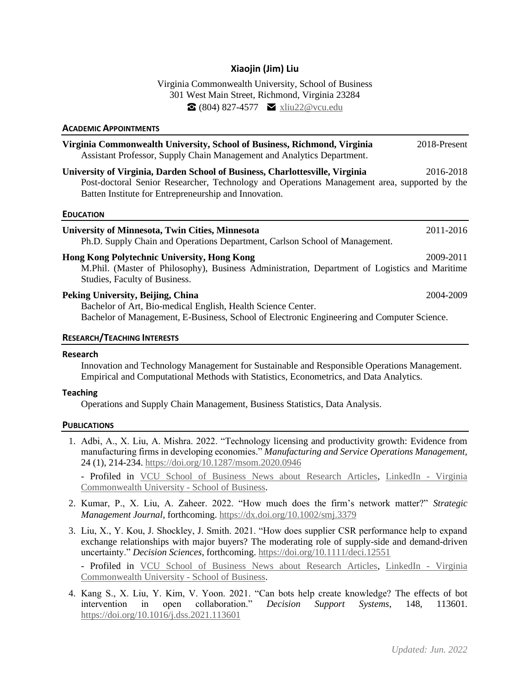# **Xiaojin (Jim) Liu**

Virginia Commonwealth University, School of Business 301 West Main Street, Richmond, Virginia 23284  $\Omega$  (804) 827-4577  $\blacksquare$  [xliu22@vcu.edu](mailto:xliu22@vcu.edu)

| <b>ACADEMIC APPOINTMENTS</b>                                                                                                                                                                                                          |              |
|---------------------------------------------------------------------------------------------------------------------------------------------------------------------------------------------------------------------------------------|--------------|
| Virginia Commonwealth University, School of Business, Richmond, Virginia<br>Assistant Professor, Supply Chain Management and Analytics Department.                                                                                    | 2018-Present |
| University of Virginia, Darden School of Business, Charlottesville, Virginia<br>Post-doctoral Senior Researcher, Technology and Operations Management area, supported by the<br>Batten Institute for Entrepreneurship and Innovation. | 2016-2018    |
| <b>EDUCATION</b>                                                                                                                                                                                                                      |              |
| <b>University of Minnesota, Twin Cities, Minnesota</b><br>Ph.D. Supply Chain and Operations Department, Carlson School of Management.                                                                                                 | 2011-2016    |
| <b>Hong Kong Polytechnic University, Hong Kong</b><br>M.Phil. (Master of Philosophy), Business Administration, Department of Logistics and Maritime<br>Studies, Faculty of Business.                                                  | 2009-2011    |
| Peking University, Beijing, China<br>Bachelor of Art, Bio-medical English, Health Science Center.<br>Bachelor of Management, E-Business, School of Electronic Engineering and Computer Science.                                       | 2004-2009    |
| <b>RESEARCH/TEACHING INTERESTS</b>                                                                                                                                                                                                    |              |

### **Research**

Innovation and Technology Management for Sustainable and Responsible Operations Management. Empirical and Computational Methods with Statistics, Econometrics, and Data Analytics.

## **Teaching**

Operations and Supply Chain Management, Business Statistics, Data Analysis.

### **PUBLICATIONS**

1. Adbi, A., X. Liu, A. Mishra. 2022. "Technology licensing and productivity growth: Evidence from manufacturing firms in developing economies." *Manufacturing and Service Operations Management,*  24 (1), 214-234.<https://doi.org/10.1287/msom.2020.0946>

- Profiled in [VCU School of Business News about Research Articles,](https://business.vcu.edu/about-us/news/news-articles/technology-licensing-and-productivity-growth.html) [LinkedIn -](https://www.linkedin.com/posts/virginia-commonwealth-university---school-of-business_vcu-school-of-business-professorxiaojin-activity-6884187639289790464-0BDJ/) Virginia [Commonwealth University -](https://www.linkedin.com/posts/virginia-commonwealth-university---school-of-business_vcu-school-of-business-professorxiaojin-activity-6884187639289790464-0BDJ/) School of Business.

- 2. Kumar, P., X. Liu, A. Zaheer. 2022. "How much does the firm's network matter?" *Strategic Management Journal*, forthcoming.<https://dx.doi.org/10.1002/smj.3379>
- 3. Liu, X., Y. Kou, J. Shockley, J. Smith. 2021. "How does supplier CSR performance help to expand exchange relationships with major buyers? The moderating role of supply-side and demand-driven uncertainty." *Decision Sciences*, forthcoming.<https://doi.org/10.1111/deci.12551>

- Profiled in [VCU School of Business News about Research Articles,](https://business.vcu.edu/about-us/news/news-articles/how-does-supplier-csr-performance-help-to-expand-exchange-relationships.html) [LinkedIn -](https://www.linkedin.com/posts/virginia-commonwealth-university---school-of-business_vcu-school-of-business-professorsxiaojin-activity-6886721545150984192-zATW/) Virginia [Commonwealth University -](https://www.linkedin.com/posts/virginia-commonwealth-university---school-of-business_vcu-school-of-business-professorsxiaojin-activity-6886721545150984192-zATW/) School of Business.

4. Kang S., X. Liu, Y. Kim, V. Yoon. 2021. "Can bots help create knowledge? The effects of bot intervention in open collaboration." *Decision Support Systems*, 148, 113601. <https://doi.org/10.1016/j.dss.2021.113601>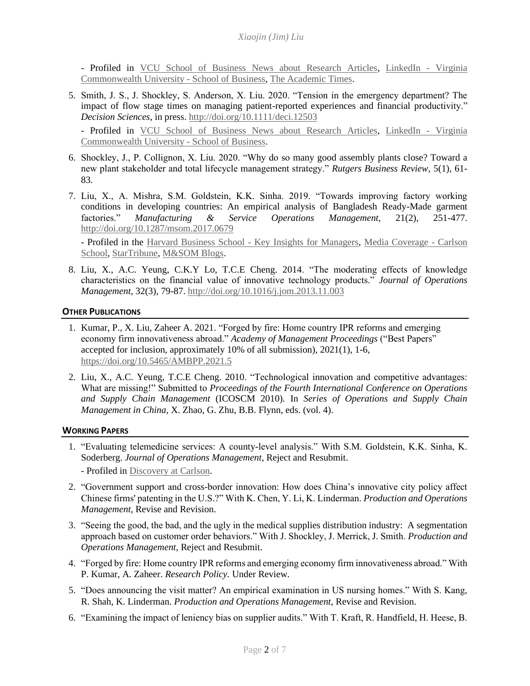- Profiled in [VCU School of Business News about Research Articles,](https://business.vcu.edu/about-us/news/news-articles/can-bots-help-create-knowledge.html) [LinkedIn -](https://www.linkedin.com/posts/virginia-commonwealth-university---school-of-business_vcu-school-of-business-professorsyeongin-activity-6886377925701079040-6HpN) Virginia [Commonwealth University -](https://www.linkedin.com/posts/virginia-commonwealth-university---school-of-business_vcu-school-of-business-professorsyeongin-activity-6886377925701079040-6HpN) School of Business, [The Academic Times.](https://web.archive.org/web/20210714200321/https:/academictimes.com/bots-could-decrease-user-participation-on-collaborative-websites/)

5. Smith, J. S., J. Shockley, S. Anderson, X. Liu. 2020. "Tension in the emergency department? The impact of flow stage times on managing patient-reported experiences and financial productivity." *Decision Sciences*, in press.<http://doi.org/10.1111/deci.12503>

- Profiled in [VCU School of Business News about Research Articles,](https://business.vcu.edu/about-us/news/news-articles/tension-in-the-emergency-department.html) [LinkedIn -](https://www.linkedin.com/feed/update/urn:li:activity:6887844622761005056/) Virginia [Commonwealth University -](https://www.linkedin.com/feed/update/urn:li:activity:6887844622761005056/) School of Business.

- 6. Shockley, J., P. Collignon, X. Liu. 2020. "Why do so many good assembly plants close? Toward a new plant stakeholder and total lifecycle management strategy." *Rutgers Business Review,* 5(1), 61- 83.
- 7. Liu, X., A. Mishra, S.M. Goldstein, K.K. Sinha. 2019. "Towards improving factory working conditions in developing countries: An empirical analysis of Bangladesh Ready-Made garment factories." *Manufacturing & Service Operations Management,* 21(2), 251-477. <http://doi.org/10.1287/msom.2017.0679>

- Profiled in the [Harvard Business School -](https://www.library.hbs.edu/Working-Conditions-in-Supply-Chains/Citations/Toward-Improving-Factory-Working-Conditions-in-Developing-Countries-An-Empirical-Analysis-of-Bangladesh-Ready-Made-Garment-Factories) Key Insights for Managers, [Media Coverage -](https://www.youtube.com/watch?v=2bVbZwyK6zE&feature=youtu.be) Carlson [School,](https://www.youtube.com/watch?v=2bVbZwyK6zE&feature=youtu.be) [StarTribune,](https://www.startribune.com/lee-schafer-retailers-do-care-what-happens-in-far-off-apparel-factories/468161183/) [M&SOM Blogs.](https://www.informs.org/Blogs/M-SOM-Blogs/M-SOM-Review/Designing-and-Sustaining-Socially-Responsible-Global-Supply-Chains-Lessons-from-Bangladesh)

8. Liu, X., A.C. Yeung, C.K.Y Lo, T.C.E Cheng. 2014. "The moderating effects of knowledge characteristics on the financial value of innovative technology products." *Journal of Operations Management*, 32(3), 79-87.<http://doi.org/10.1016/j.jom.2013.11.003>

## **OTHER PUBLICATIONS**

- 1. Kumar, P., X. Liu, Zaheer A. 2021. "Forged by fire: Home country IPR reforms and emerging economy firm innovativeness abroad." *Academy of Management Proceedings* ("Best Papers" accepted for inclusion, approximately 10% of all submission), 2021(1), 1-6, <https://doi.org/10.5465/AMBPP.2021.5>
- 2. Liu, X., A.C. Yeung, T.C.E Cheng. 2010. "Technological innovation and competitive advantages: What are missing!" Submitted to *Proceedings of the Fourth International Conference on Operations and Supply Chain Management* (ICOSCM 2010)*.* In *Series of Operations and Supply Chain Management in China,* X. Zhao, G. Zhu, B.B. Flynn, eds. (vol. 4).

## **WORKING PAPERS**

- 1. "Evaluating telemedicine services: A county-level analysis." With S.M. Goldstein, K.K. Sinha, K. Soderberg. *Journal of Operations Management*, Reject and Resubmit.
	- Profiled in [Discovery at Carlson.](https://carlsonschool.umn.edu/news/studying-supply-chain)
- 2. "Government support and cross-border innovation: How does China's innovative city policy affect Chinese firms' patenting in the U.S.?" With K. Chen, Y. Li, K. Linderman. *Production and Operations Management*, Revise and Revision.
- 3. "Seeing the good, the bad, and the ugly in the medical supplies distribution industry: A segmentation approach based on customer order behaviors." With J. Shockley, J. Merrick, J. Smith. *Production and Operations Management*, Reject and Resubmit.
- 4. "Forged by fire: Home country IPR reforms and emerging economy firm innovativeness abroad." With P. Kumar, A. Zaheer. *Research Policy.* Under Review.
- 5. "Does announcing the visit matter? An empirical examination in US nursing homes." With S. Kang, R. Shah, K. Linderman. *Production and Operations Management*, Revise and Revision.
- 6. "Examining the impact of leniency bias on supplier audits." With T. Kraft, R. Handfield, H. Heese, B.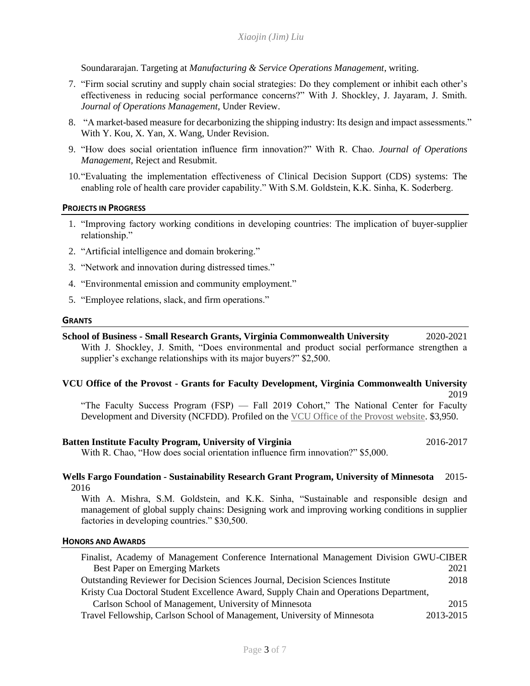Soundararajan. Targeting at *Manufacturing & Service Operations Management*, writing.

- 7. "Firm social scrutiny and supply chain social strategies: Do they complement or inhibit each other's effectiveness in reducing social performance concerns?" With J. Shockley, J. Jayaram, J. Smith. *Journal of Operations Management*, Under Review.
- 8. "A market-based measure for decarbonizing the shipping industry: Its design and impact assessments." With Y. Kou, X. Yan, X. Wang, Under Revision.
- 9. "How does social orientation influence firm innovation?" With R. Chao. *Journal of Operations Management*, Reject and Resubmit.
- 10."Evaluating the implementation effectiveness of Clinical Decision Support (CDS) systems: The enabling role of health care provider capability." With S.M. Goldstein, K.K. Sinha, K. Soderberg.

## **PROJECTS IN PROGRESS**

- 1. "Improving factory working conditions in developing countries: The implication of buyer-supplier relationship."
- 2. "Artificial intelligence and domain brokering."
- 3. "Network and innovation during distressed times."
- 4. "Environmental emission and community employment."
- 5. "Employee relations, slack, and firm operations."

### **GRANTS**

**School of Business - Small Research Grants, Virginia Commonwealth University** 2020-2021 With J. Shockley, J. Smith, "Does environmental and product social performance strengthen a supplier's exchange relationships with its major buyers?" \$2,500.

### **VCU Office of the Provost - Grants for Faculty Development, Virginia Commonwealth University** 2019

"The Faculty Success Program (FSP) — Fall 2019 Cohort," The National Center for Faculty Development and Diversity (NCFDD). Profiled on the [VCU Office of the Provost website.](https://provost.vcu.edu/about/news/feeds/fsp-fall-2019.html) \$3,950.

## **Batten Institute Faculty Program, University of Virginia** 2016-2017

With R. Chao, "How does social orientation influence firm innovation?" \$5,000.

# **Wells Fargo Foundation - Sustainability Research Grant Program, University of Minnesota** 2015- 2016

With A. Mishra, S.M. Goldstein, and K.K. Sinha, "Sustainable and responsible design and management of global supply chains: Designing work and improving working conditions in supplier factories in developing countries." \$30,500.

### **HONORS AND AWARDS**

| Finalist, Academy of Management Conference International Management Division GWU-CIBER |           |
|----------------------------------------------------------------------------------------|-----------|
| <b>Best Paper on Emerging Markets</b>                                                  | 2021      |
| <b>Outstanding Reviewer for Decision Sciences Journal, Decision Sciences Institute</b> | 2018      |
| Kristy Cua Doctoral Student Excellence Award, Supply Chain and Operations Department,  |           |
| Carlson School of Management, University of Minnesota                                  | 2015      |
| Travel Fellowship, Carlson School of Management, University of Minnesota               | 2013-2015 |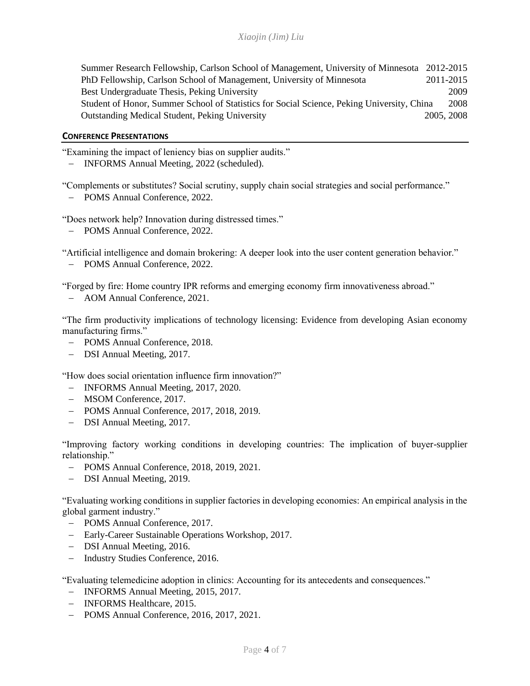| Summer Research Fellowship, Carlson School of Management, University of Minnesota 2012-2015 |            |      |
|---------------------------------------------------------------------------------------------|------------|------|
| PhD Fellowship, Carlson School of Management, University of Minnesota                       | 2011-2015  |      |
| Best Undergraduate Thesis, Peking University                                                |            | 2009 |
| Student of Honor, Summer School of Statistics for Social Science, Peking University, China  |            | 2008 |
| <b>Outstanding Medical Student, Peking University</b>                                       | 2005, 2008 |      |

## **CONFERENCE PRESENTATIONS**

"Examining the impact of leniency bias on supplier audits."

− INFORMS Annual Meeting, 2022 (scheduled).

"Complements or substitutes? Social scrutiny, supply chain social strategies and social performance."

− POMS Annual Conference, 2022.

"Does network help? Innovation during distressed times."

− POMS Annual Conference, 2022.

"Artificial intelligence and domain brokering: A deeper look into the user content generation behavior."

− POMS Annual Conference, 2022.

"Forged by fire: Home country IPR reforms and emerging economy firm innovativeness abroad."

− AOM Annual Conference, 2021.

"The firm productivity implications of technology licensing: Evidence from developing Asian economy manufacturing firms."

- − POMS Annual Conference, 2018.
- − DSI Annual Meeting, 2017.

"How does social orientation influence firm innovation?"

- − INFORMS Annual Meeting, 2017, 2020.
- − MSOM Conference, 2017.
- − POMS Annual Conference, 2017, 2018, 2019.
- − DSI Annual Meeting, 2017.

"Improving factory working conditions in developing countries: The implication of buyer-supplier relationship."

- − POMS Annual Conference, 2018, 2019, 2021.
- − DSI Annual Meeting, 2019.

"Evaluating working conditions in supplier factories in developing economies: An empirical analysis in the global garment industry."

- − POMS Annual Conference, 2017.
- − Early-Career Sustainable Operations Workshop, 2017.
- − DSI Annual Meeting, 2016.
- − Industry Studies Conference, 2016.

"Evaluating telemedicine adoption in clinics: Accounting for its antecedents and consequences."

- − INFORMS Annual Meeting, 2015, 2017.
- − INFORMS Healthcare, 2015.
- − POMS Annual Conference, 2016, 2017, 2021.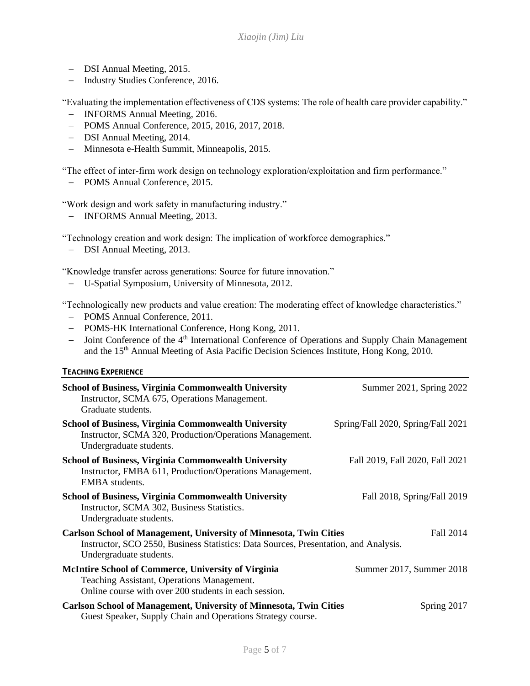- − DSI Annual Meeting, 2015.
- − Industry Studies Conference, 2016.

"Evaluating the implementation effectiveness of CDS systems: The role of health care provider capability."

- − INFORMS Annual Meeting, 2016.
- − POMS Annual Conference, 2015, 2016, 2017, 2018.
- − DSI Annual Meeting, 2014.
- − Minnesota e-Health Summit, Minneapolis, 2015.

"The effect of inter-firm work design on technology exploration/exploitation and firm performance."

− POMS Annual Conference, 2015.

"Work design and work safety in manufacturing industry."

− INFORMS Annual Meeting, 2013.

"Technology creation and work design: The implication of workforce demographics."

− DSI Annual Meeting, 2013.

"Knowledge transfer across generations: Source for future innovation."

− U-Spatial Symposium, University of Minnesota, 2012.

"Technologically new products and value creation: The moderating effect of knowledge characteristics."

- − POMS Annual Conference, 2011.
- − POMS-HK International Conference, Hong Kong, 2011.
- − Joint Conference of the 4th International Conference of Operations and Supply Chain Management and the 15<sup>th</sup> Annual Meeting of Asia Pacific Decision Sciences Institute, Hong Kong, 2010.

# **TEACHING EXPERIENCE**

| School of Business, Virginia Commonwealth University<br>Instructor, SCMA 675, Operations Management.<br>Graduate students.                                                                   | Summer 2021, Spring 2022           |
|----------------------------------------------------------------------------------------------------------------------------------------------------------------------------------------------|------------------------------------|
| <b>School of Business, Virginia Commonwealth University</b><br>Instructor, SCMA 320, Production/Operations Management.<br>Undergraduate students.                                            | Spring/Fall 2020, Spring/Fall 2021 |
| School of Business, Virginia Commonwealth University<br>Instructor, FMBA 611, Production/Operations Management.<br>EMBA students.                                                            | Fall 2019, Fall 2020, Fall 2021    |
| <b>School of Business, Virginia Commonwealth University</b><br>Instructor, SCMA 302, Business Statistics.<br>Undergraduate students.                                                         | Fall 2018, Spring/Fall 2019        |
| <b>Carlson School of Management, University of Minnesota, Twin Cities</b><br>Instructor, SCO 2550, Business Statistics: Data Sources, Presentation, and Analysis.<br>Undergraduate students. | Fall 2014                          |
| <b>McIntire School of Commerce, University of Virginia</b><br>Teaching Assistant, Operations Management.<br>Online course with over 200 students in each session.                            | Summer 2017, Summer 2018           |
| <b>Carlson School of Management, University of Minnesota, Twin Cities</b><br>Guest Speaker, Supply Chain and Operations Strategy course.                                                     | Spring 2017                        |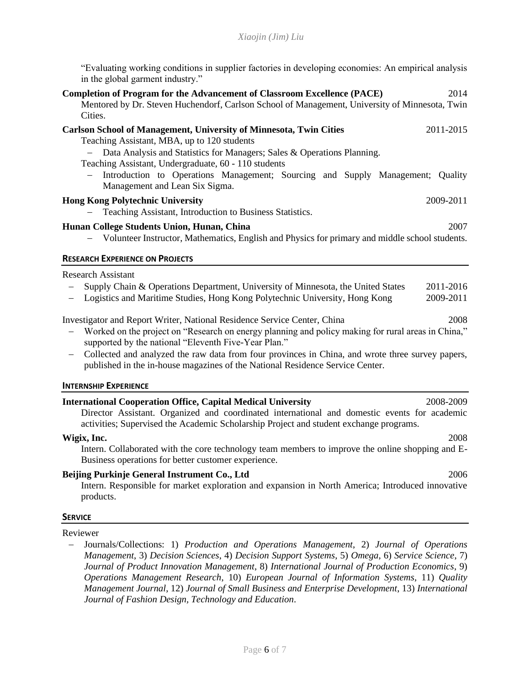"Evaluating working conditions in supplier factories in developing economies: An empirical analysis in the global garment industry."

| <b>Completion of Program for the Advancement of Classroom Excellence (PACE)</b><br>2014<br>Mentored by Dr. Steven Huchendorf, Carlson School of Management, University of Minnesota, Twin                                                                                                                                                                                                                                                                                                                                                                                                                                                                     |
|---------------------------------------------------------------------------------------------------------------------------------------------------------------------------------------------------------------------------------------------------------------------------------------------------------------------------------------------------------------------------------------------------------------------------------------------------------------------------------------------------------------------------------------------------------------------------------------------------------------------------------------------------------------|
| Cities.                                                                                                                                                                                                                                                                                                                                                                                                                                                                                                                                                                                                                                                       |
| <b>Carlson School of Management, University of Minnesota, Twin Cities</b><br>2011-2015<br>Teaching Assistant, MBA, up to 120 students<br>Data Analysis and Statistics for Managers; Sales & Operations Planning.<br>$-$<br>Teaching Assistant, Undergraduate, 60 - 110 students<br>Introduction to Operations Management; Sourcing and Supply Management; Quality                                                                                                                                                                                                                                                                                             |
| Management and Lean Six Sigma.                                                                                                                                                                                                                                                                                                                                                                                                                                                                                                                                                                                                                                |
| <b>Hong Kong Polytechnic University</b><br>2009-2011                                                                                                                                                                                                                                                                                                                                                                                                                                                                                                                                                                                                          |
| Teaching Assistant, Introduction to Business Statistics.                                                                                                                                                                                                                                                                                                                                                                                                                                                                                                                                                                                                      |
| Hunan College Students Union, Hunan, China<br>2007<br>Volunteer Instructor, Mathematics, English and Physics for primary and middle school students.                                                                                                                                                                                                                                                                                                                                                                                                                                                                                                          |
| <b>RESEARCH EXPERIENCE ON PROJECTS</b>                                                                                                                                                                                                                                                                                                                                                                                                                                                                                                                                                                                                                        |
| <b>Research Assistant</b><br>Supply Chain & Operations Department, University of Minnesota, the United States<br>2011-2016<br>Logistics and Maritime Studies, Hong Kong Polytechnic University, Hong Kong<br>2009-2011<br>2008<br>Investigator and Report Writer, National Residence Service Center, China<br>Worked on the project on "Research on energy planning and policy making for rural areas in China,"<br>supported by the national "Eleventh Five-Year Plan."<br>Collected and analyzed the raw data from four provinces in China, and wrote three survey papers,<br>published in the in-house magazines of the National Residence Service Center. |
| <b>INTERNSHIP EXPERIENCE</b>                                                                                                                                                                                                                                                                                                                                                                                                                                                                                                                                                                                                                                  |
| <b>International Cooperation Office, Capital Medical University</b><br>2008-2009<br>Director Assistant. Organized and coordinated international and domestic events for academic<br>activities; Supervised the Academic Scholarship Project and student exchange programs.                                                                                                                                                                                                                                                                                                                                                                                    |
| 2008<br>Wigix, Inc.<br>Intern. Collaborated with the core technology team members to improve the online shopping and E-<br>Business operations for better customer experience.                                                                                                                                                                                                                                                                                                                                                                                                                                                                                |
| Beijing Purkinje General Instrument Co., Ltd<br>2006<br>Intern. Responsible for market exploration and expansion in North America; Introduced innovative<br>products.                                                                                                                                                                                                                                                                                                                                                                                                                                                                                         |
|                                                                                                                                                                                                                                                                                                                                                                                                                                                                                                                                                                                                                                                               |

**SERVICE**

Reviewer

− Journals/Collections: 1) *Production and Operations Management*, 2) *Journal of Operations Management*, 3) *Decision Sciences*, 4) *Decision Support Systems*, 5) *Omega*, 6) *Service Science*, 7) *Journal of Product Innovation Management*, 8) *International Journal of Production Economics*, 9) *Operations Management Research*, 10) *European Journal of Information Systems*, 11) *Quality Management Journal*, 12) *Journal of Small Business and Enterprise Development*, 13) *International Journal of Fashion Design, Technology and Education*.